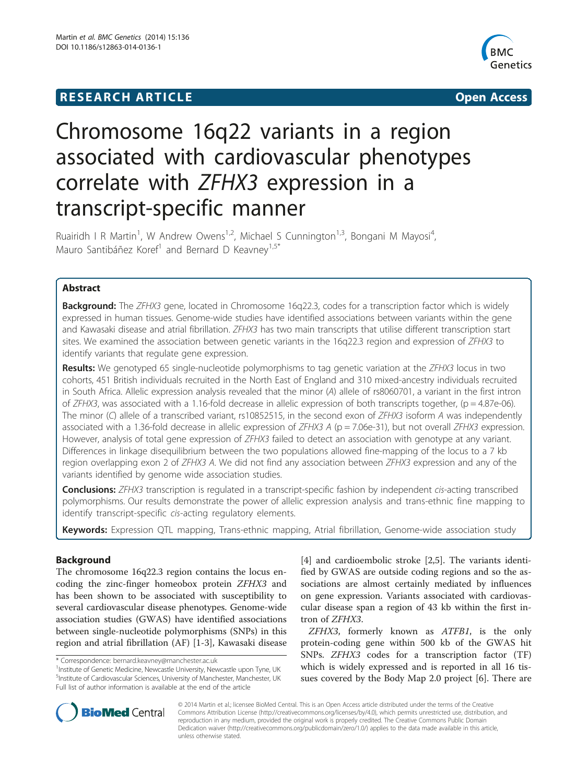# **RESEARCH ARTICLE Example 2014 12:30 The SEAR CH ACCESS**



# Chromosome 16q22 variants in a region associated with cardiovascular phenotypes correlate with ZFHX3 expression in a transcript-specific manner

Ruairidh I R Martin<sup>1</sup>, W Andrew Owens<sup>1,2</sup>, Michael S Cunnington<sup>1,3</sup>, Bongani M Mayosi<sup>4</sup> , Mauro Santibáñez Koref<sup>1</sup> and Bernard D Keavney<sup>1,5\*</sup>

# Abstract

Background: The ZFHX3 gene, located in Chromosome 16q22.3, codes for a transcription factor which is widely expressed in human tissues. Genome-wide studies have identified associations between variants within the gene and Kawasaki disease and atrial fibrillation. ZFHX3 has two main transcripts that utilise different transcription start sites. We examined the association between genetic variants in the 16q22.3 region and expression of ZFHX3 to identify variants that regulate gene expression.

**Results:** We genotyped 65 single-nucleotide polymorphisms to tag genetic variation at the ZFHX3 locus in two cohorts, 451 British individuals recruited in the North East of England and 310 mixed-ancestry individuals recruited in South Africa. Allelic expression analysis revealed that the minor (A) allele of rs8060701, a variant in the first intron of ZFHX3, was associated with a 1.16-fold decrease in allelic expression of both transcripts together, (p = 4.87e-06). The minor (C) allele of a transcribed variant, rs10852515, in the second exon of ZFHX3 isoform A was independently associated with a 1.36-fold decrease in allelic expression of  $ZFHX3$  A (p = 7.06e-31), but not overall  $ZFHX3$  expression. However, analysis of total gene expression of ZFHX3 failed to detect an association with genotype at any variant. Differences in linkage disequilibrium between the two populations allowed fine-mapping of the locus to a 7 kb region overlapping exon 2 of ZFHX3 A. We did not find any association between ZFHX3 expression and any of the variants identified by genome wide association studies.

**Conclusions:** ZFHX3 transcription is regulated in a transcript-specific fashion by independent cis-acting transcribed polymorphisms. Our results demonstrate the power of allelic expression analysis and trans-ethnic fine mapping to identify transcript-specific cis-acting regulatory elements.

Keywords: Expression QTL mapping, Trans-ethnic mapping, Atrial fibrillation, Genome-wide association study

# Background

The chromosome 16q22.3 region contains the locus encoding the zinc-finger homeobox protein ZFHX3 and has been shown to be associated with susceptibility to several cardiovascular disease phenotypes. Genome-wide association studies (GWAS) have identified associations between single-nucleotide polymorphisms (SNPs) in this region and atrial fibrillation (AF) [[1-3](#page-5-0)], Kawasaki disease

[[4\]](#page-5-0) and cardioembolic stroke [[2,5\]](#page-5-0). The variants identified by GWAS are outside coding regions and so the associations are almost certainly mediated by influences on gene expression. Variants associated with cardiovascular disease span a region of 43 kb within the first intron of ZFHX3.

ZFHX3, formerly known as ATFB1, is the only protein-coding gene within 500 kb of the GWAS hit SNPs. ZFHX3 codes for a transcription factor (TF) which is widely expressed and is reported in all 16 tissues covered by the Body Map 2.0 project [\[6](#page-5-0)]. There are



© 2014 Martin et al.; licensee BioMed Central. This is an Open Access article distributed under the terms of the Creative Commons Attribution License [\(http://creativecommons.org/licenses/by/4.0\)](http://creativecommons.org/licenses/by/4.0), which permits unrestricted use, distribution, and reproduction in any medium, provided the original work is properly credited. The Creative Commons Public Domain Dedication waiver [\(http://creativecommons.org/publicdomain/zero/1.0/](http://creativecommons.org/publicdomain/zero/1.0/)) applies to the data made available in this article, unless otherwise stated.

<sup>\*</sup> Correspondence: [bernard.keavney@manchester.ac.uk](mailto:bernard.keavney@manchester.ac.uk) <sup>1</sup>

<sup>&</sup>lt;sup>1</sup> Institute of Genetic Medicine, Newcastle University, Newcastle upon Tyne, UK <sup>5</sup>Institute of Cardiovascular Sciences, University of Manchester, Manchester, UK Full list of author information is available at the end of the article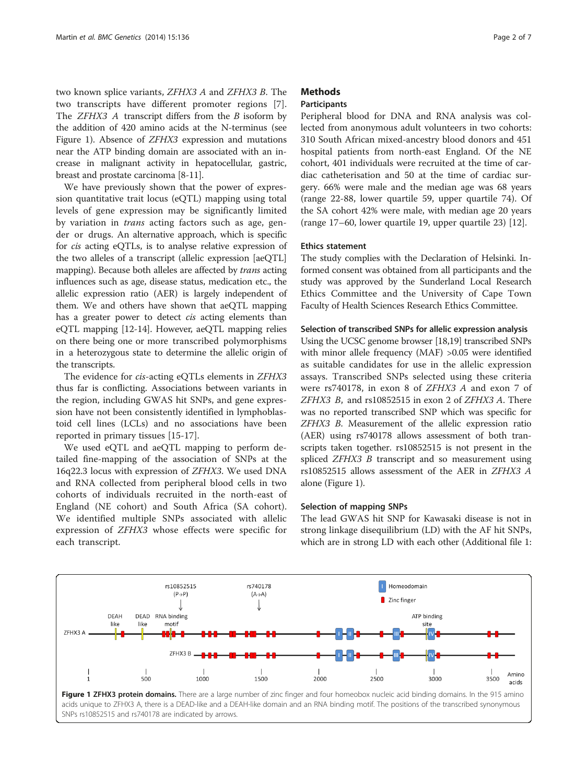two known splice variants, ZFHX3 A and ZFHX3 B. The two transcripts have different promoter regions [\[7](#page-5-0)]. The *ZFHX3 A* transcript differs from the *B* isoform by the addition of 420 amino acids at the N-terminus (see Figure 1). Absence of ZFHX3 expression and mutations near the ATP binding domain are associated with an increase in malignant activity in hepatocellular, gastric, breast and prostate carcinoma [\[8](#page-6-0)-[11](#page-6-0)].

We have previously shown that the power of expression quantitative trait locus (eQTL) mapping using total levels of gene expression may be significantly limited by variation in trans acting factors such as age, gender or drugs. An alternative approach, which is specific for cis acting eQTLs, is to analyse relative expression of the two alleles of a transcript (allelic expression [aeQTL] mapping). Because both alleles are affected by *trans* acting influences such as age, disease status, medication etc., the allelic expression ratio (AER) is largely independent of them. We and others have shown that aeQTL mapping has a greater power to detect cis acting elements than eQTL mapping [\[12-14\]](#page-6-0). However, aeQTL mapping relies on there being one or more transcribed polymorphisms in a heterozygous state to determine the allelic origin of the transcripts.

The evidence for cis-acting eQTLs elements in ZFHX3 thus far is conflicting. Associations between variants in the region, including GWAS hit SNPs, and gene expression have not been consistently identified in lymphoblastoid cell lines (LCLs) and no associations have been reported in primary tissues [\[15](#page-6-0)-[17\]](#page-6-0).

We used eQTL and aeQTL mapping to perform detailed fine-mapping of the association of SNPs at the 16q22.3 locus with expression of ZFHX3. We used DNA and RNA collected from peripheral blood cells in two cohorts of individuals recruited in the north-east of England (NE cohort) and South Africa (SA cohort). We identified multiple SNPs associated with allelic expression of ZFHX3 whose effects were specific for each transcript.

# **Methods**

# **Participants**

Peripheral blood for DNA and RNA analysis was collected from anonymous adult volunteers in two cohorts: 310 South African mixed-ancestry blood donors and 451 hospital patients from north-east England. Of the NE cohort, 401 individuals were recruited at the time of cardiac catheterisation and 50 at the time of cardiac surgery. 66% were male and the median age was 68 years (range 22-88, lower quartile 59, upper quartile 74). Of the SA cohort 42% were male, with median age 20 years (range 17–60, lower quartile 19, upper quartile 23) [[12\]](#page-6-0).

#### Ethics statement

The study complies with the Declaration of Helsinki. Informed consent was obtained from all participants and the study was approved by the Sunderland Local Research Ethics Committee and the University of Cape Town Faculty of Health Sciences Research Ethics Committee.

# Selection of transcribed SNPs for allelic expression analysis

Using the UCSC genome browser [[18,19\]](#page-6-0) transcribed SNPs with minor allele frequency (MAF) >0.05 were identified as suitable candidates for use in the allelic expression assays. Transcribed SNPs selected using these criteria were rs740178, in exon 8 of ZFHX3 A and exon 7 of ZFHX3 B, and rs10852515 in exon 2 of ZFHX3 A. There was no reported transcribed SNP which was specific for ZFHX3 B. Measurement of the allelic expression ratio (AER) using rs740178 allows assessment of both transcripts taken together. rs10852515 is not present in the spliced *ZFHX3 B* transcript and so measurement using rs10852515 allows assessment of the AER in ZFHX3 A alone (Figure 1).

#### Selection of mapping SNPs

The lead GWAS hit SNP for Kawasaki disease is not in strong linkage disequilibrium (LD) with the AF hit SNPs, which are in strong LD with each other (Additional file [1](#page-5-0):

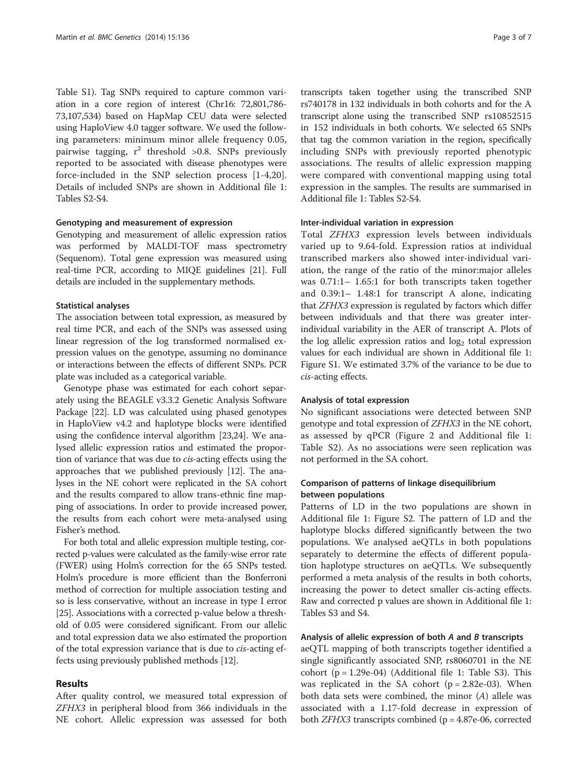Table S1). Tag SNPs required to capture common variation in a core region of interest (Chr16: 72,801,786- 73,107,534) based on HapMap CEU data were selected using HaploView 4.0 tagger software. We used the following parameters: minimum minor allele frequency 0.05, pairwise tagging,  $r^2$  threshold >0.8. SNPs previously reported to be associated with disease phenotypes were force-included in the SNP selection process [\[1](#page-5-0)-[4,](#page-5-0)[20](#page-6-0)]. Details of included SNPs are shown in Additional file [1](#page-5-0): Tables S2-S4.

#### Genotyping and measurement of expression

Genotyping and measurement of allelic expression ratios was performed by MALDI-TOF mass spectrometry (Sequenom). Total gene expression was measured using real-time PCR, according to MIQE guidelines [\[21](#page-6-0)]. Full details are included in the supplementary methods.

#### Statistical analyses

The association between total expression, as measured by real time PCR, and each of the SNPs was assessed using linear regression of the log transformed normalised expression values on the genotype, assuming no dominance or interactions between the effects of different SNPs. PCR plate was included as a categorical variable.

Genotype phase was estimated for each cohort separately using the BEAGLE v3.3.2 Genetic Analysis Software Package [[22](#page-6-0)]. LD was calculated using phased genotypes in HaploView v4.2 and haplotype blocks were identified using the confidence interval algorithm [[23,24](#page-6-0)]. We analysed allelic expression ratios and estimated the proportion of variance that was due to cis-acting effects using the approaches that we published previously [\[12\]](#page-6-0). The analyses in the NE cohort were replicated in the SA cohort and the results compared to allow trans-ethnic fine mapping of associations. In order to provide increased power, the results from each cohort were meta-analysed using Fisher's method.

For both total and allelic expression multiple testing, corrected p-values were calculated as the family-wise error rate (FWER) using Holm's correction for the 65 SNPs tested. Holm's procedure is more efficient than the Bonferroni method of correction for multiple association testing and so is less conservative, without an increase in type I error [[25](#page-6-0)]. Associations with a corrected p-value below a threshold of 0.05 were considered significant. From our allelic and total expression data we also estimated the proportion of the total expression variance that is due to cis-acting effects using previously published methods [[12](#page-6-0)].

# Results

After quality control, we measured total expression of ZFHX3 in peripheral blood from 366 individuals in the NE cohort. Allelic expression was assessed for both

transcripts taken together using the transcribed SNP rs740178 in 132 individuals in both cohorts and for the A transcript alone using the transcribed SNP rs10852515 in 152 individuals in both cohorts. We selected 65 SNPs that tag the common variation in the region, specifically including SNPs with previously reported phenotypic associations. The results of allelic expression mapping were compared with conventional mapping using total expression in the samples. The results are summarised in Additional file [1](#page-5-0): Tables S2-S4.

# Inter-individual variation in expression

Total ZFHX3 expression levels between individuals varied up to 9.64-fold. Expression ratios at individual transcribed markers also showed inter-individual variation, the range of the ratio of the minor:major alleles was 0.71:1– 1.65:1 for both transcripts taken together and 0.39:1– 1.48:1 for transcript A alone, indicating that ZFHX3 expression is regulated by factors which differ between individuals and that there was greater interindividual variability in the AER of transcript A. Plots of the log allelic expression ratios and  $log<sub>2</sub>$  total expression values for each individual are shown in Additional file [1](#page-5-0): Figure S1. We estimated 3.7% of the variance to be due to cis-acting effects.

#### Analysis of total expression

No significant associations were detected between SNP genotype and total expression of ZFHX3 in the NE cohort, as assessed by qPCR (Figure [2](#page-3-0) and Additional file [1](#page-5-0): Table S2). As no associations were seen replication was not performed in the SA cohort.

# Comparison of patterns of linkage disequilibrium between populations

Patterns of LD in the two populations are shown in Additional file [1](#page-5-0): Figure S2. The pattern of LD and the haplotype blocks differed significantly between the two populations. We analysed aeQTLs in both populations separately to determine the effects of different population haplotype structures on aeQTLs. We subsequently performed a meta analysis of the results in both cohorts, increasing the power to detect smaller cis-acting effects. Raw and corrected p values are shown in Additional file [1](#page-5-0): Tables S3 and S4.

# Analysis of allelic expression of both A and B transcripts

aeQTL mapping of both transcripts together identified a single significantly associated SNP, rs8060701 in the NE cohort  $(p = 1.29e-04)$  $(p = 1.29e-04)$  $(p = 1.29e-04)$  (Additional file 1: Table S3). This was replicated in the SA cohort  $(p = 2.82e-03)$ . When both data sets were combined, the minor (A) allele was associated with a 1.17-fold decrease in expression of both  $ZFHX3$  transcripts combined ( $p = 4.87e-06$ , corrected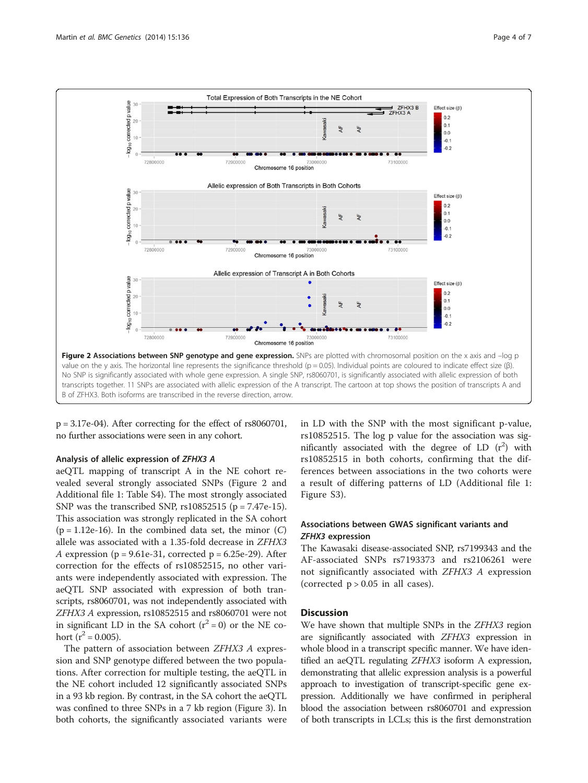<span id="page-3-0"></span>

p = 3.17e-04). After correcting for the effect of rs8060701, no further associations were seen in any cohort.

#### Analysis of allelic expression of ZFHX3 A

aeQTL mapping of transcript A in the NE cohort revealed several strongly associated SNPs (Figure 2 and Additional file [1:](#page-5-0) Table S4). The most strongly associated SNP was the transcribed SNP,  $rs10852515$  ( $p = 7.47e-15$ ). This association was strongly replicated in the SA cohort  $(p = 1.12e-16)$ . In the combined data set, the minor  $(C)$ allele was associated with a 1.35-fold decrease in ZFHX3 A expression ( $p = 9.61e-31$ , corrected  $p = 6.25e-29$ ). After correction for the effects of rs10852515, no other variants were independently associated with expression. The aeQTL SNP associated with expression of both transcripts, rs8060701, was not independently associated with ZFHX3 A expression, rs10852515 and rs8060701 were not in significant LD in the SA cohort  $(r^2 = 0)$  or the NE cohort ( $r^2$  = 0.005).

The pattern of association between ZFHX3 A expression and SNP genotype differed between the two populations. After correction for multiple testing, the aeQTL in the NE cohort included 12 significantly associated SNPs in a 93 kb region. By contrast, in the SA cohort the aeQTL was confined to three SNPs in a 7 kb region (Figure [3\)](#page-4-0). In both cohorts, the significantly associated variants were in LD with the SNP with the most significant p-value, rs10852515. The log p value for the association was significantly associated with the degree of LD  $(r^2)$  with rs10852515 in both cohorts, confirming that the differences between associations in the two cohorts were a result of differing patterns of LD (Additional file [1](#page-5-0): Figure S3).

# Associations between GWAS significant variants and ZFHX3 expression

The Kawasaki disease-associated SNP, rs7199343 and the AF-associated SNPs rs7193373 and rs2106261 were not significantly associated with ZFHX3 A expression (corrected  $p > 0.05$  in all cases).

#### **Discussion**

We have shown that multiple SNPs in the *ZFHX3* region are significantly associated with ZFHX3 expression in whole blood in a transcript specific manner. We have identified an aeQTL regulating ZFHX3 isoform A expression, demonstrating that allelic expression analysis is a powerful approach to investigation of transcript-specific gene expression. Additionally we have confirmed in peripheral blood the association between rs8060701 and expression of both transcripts in LCLs; this is the first demonstration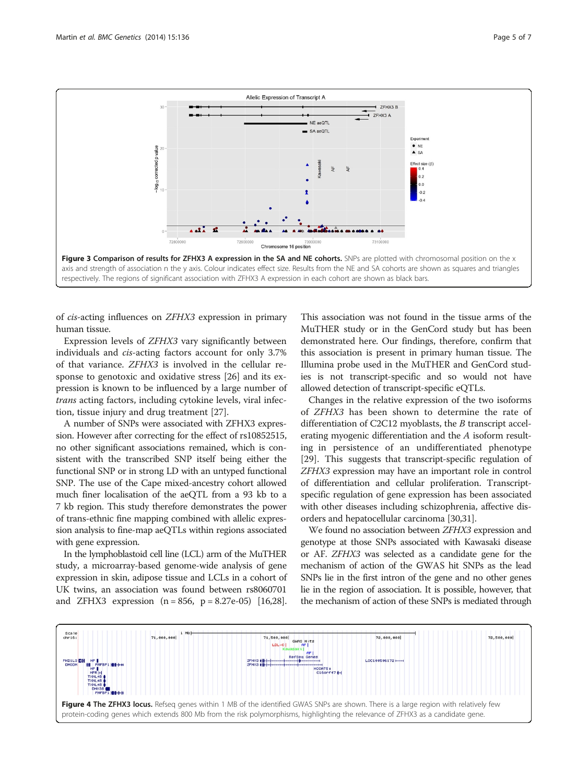<span id="page-4-0"></span>

of cis-acting influences on ZFHX3 expression in primary human tissue.

Expression levels of ZFHX3 vary significantly between individuals and cis-acting factors account for only 3.7% of that variance. ZFHX3 is involved in the cellular response to genotoxic and oxidative stress [\[26\]](#page-6-0) and its expression is known to be influenced by a large number of trans acting factors, including cytokine levels, viral infection, tissue injury and drug treatment [[27](#page-6-0)].

A number of SNPs were associated with ZFHX3 expression. However after correcting for the effect of rs10852515, no other significant associations remained, which is consistent with the transcribed SNP itself being either the functional SNP or in strong LD with an untyped functional SNP. The use of the Cape mixed-ancestry cohort allowed much finer localisation of the aeQTL from a 93 kb to a 7 kb region. This study therefore demonstrates the power of trans-ethnic fine mapping combined with allelic expression analysis to fine-map aeQTLs within regions associated with gene expression.

In the lymphoblastoid cell line (LCL) arm of the MuTHER study, a microarray-based genome-wide analysis of gene expression in skin, adipose tissue and LCLs in a cohort of UK twins, an association was found between rs8060701 and ZFHX3 expression  $(n = 856, p = 8.27e-05)$  [\[16,28](#page-6-0)].

This association was not found in the tissue arms of the MuTHER study or in the GenCord study but has been demonstrated here. Our findings, therefore, confirm that this association is present in primary human tissue. The Illumina probe used in the MuTHER and GenCord studies is not transcript-specific and so would not have allowed detection of transcript-specific eQTLs.

Changes in the relative expression of the two isoforms of ZFHX3 has been shown to determine the rate of differentiation of C2C12 myoblasts, the B transcript accelerating myogenic differentiation and the A isoform resulting in persistence of an undifferentiated phenotype [[29\]](#page-6-0). This suggests that transcript-specific regulation of ZFHX3 expression may have an important role in control of differentiation and cellular proliferation. Transcriptspecific regulation of gene expression has been associated with other diseases including schizophrenia, affective disorders and hepatocellular carcinoma [\[30,31\]](#page-6-0).

We found no association between ZFHX3 expression and genotype at those SNPs associated with Kawasaki disease or AF. ZFHX3 was selected as a candidate gene for the mechanism of action of the GWAS hit SNPs as the lead SNPs lie in the first intron of the gene and no other genes lie in the region of association. It is possible, however, that the mechanism of action of these SNPs is mediated through

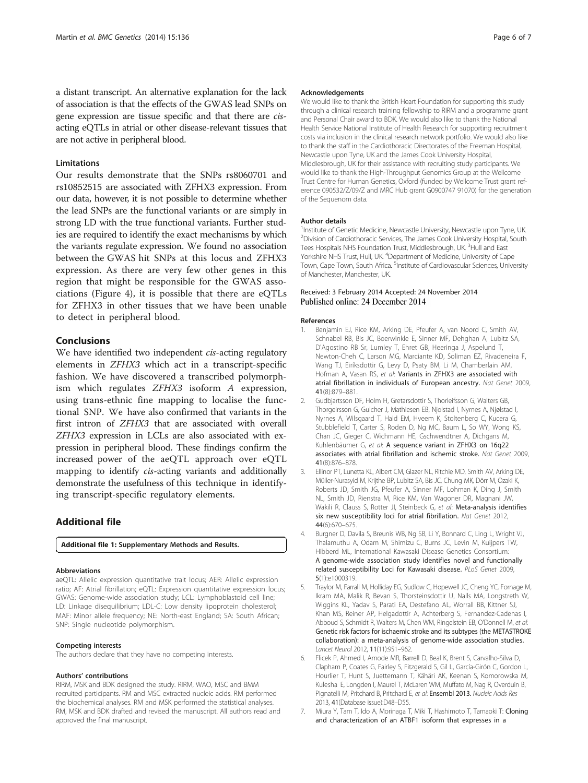<span id="page-5-0"></span>a distant transcript. An alternative explanation for the lack of association is that the effects of the GWAS lead SNPs on gene expression are tissue specific and that there are cisacting eQTLs in atrial or other disease-relevant tissues that are not active in peripheral blood.

#### Limitations

Our results demonstrate that the SNPs rs8060701 and rs10852515 are associated with ZFHX3 expression. From our data, however, it is not possible to determine whether the lead SNPs are the functional variants or are simply in strong LD with the true functional variants. Further studies are required to identify the exact mechanisms by which the variants regulate expression. We found no association between the GWAS hit SNPs at this locus and ZFHX3 expression. As there are very few other genes in this region that might be responsible for the GWAS associations (Figure [4\)](#page-4-0), it is possible that there are eQTLs for ZFHX3 in other tissues that we have been unable to detect in peripheral blood.

#### Conclusions

We have identified two independent *cis-acting regulatory* elements in ZFHX3 which act in a transcript-specific fashion. We have discovered a transcribed polymorphism which regulates ZFHX3 isoform A expression, using trans-ethnic fine mapping to localise the functional SNP. We have also confirmed that variants in the first intron of ZFHX3 that are associated with overall ZFHX3 expression in LCLs are also associated with expression in peripheral blood. These findings confirm the increased power of the aeQTL approach over eQTL mapping to identify cis-acting variants and additionally demonstrate the usefulness of this technique in identifying transcript-specific regulatory elements.

# Additional file

[Additional file 1:](http://www.biomedcentral.com/content/supplementary/s12863-014-0136-1-s1.pdf) Supplementary Methods and Results.

#### Abbreviations

aeQTL: Allelic expression quantitative trait locus; AER: Allelic expression ratio; AF: Atrial fibrillation; eQTL: Expression quantitative expression locus; GWAS: Genome-wide association study; LCL: Lymphoblastoid cell line; LD: Linkage disequilibrium; LDL-C: Low density lipoprotein cholesterol; MAF: Minor allele frequency; NE: North-east England; SA: South African; SNP: Single nucleotide polymorphism.

#### Competing interests

The authors declare that they have no competing interests.

#### Authors' contributions

RIRM, MSK and BDK designed the study. RIRM, WAO, MSC and BMM recruited participants. RM and MSC extracted nucleic acids. RM performed the biochemical analyses. RM and MSK performed the statistical analyses. RM, MSK and BDK drafted and revised the manuscript. All authors read and approved the final manuscript.

#### Acknowledgements

We would like to thank the British Heart Foundation for supporting this study through a clinical research training fellowship to RIRM and a programme grant and Personal Chair award to BDK. We would also like to thank the National Health Service National Institute of Health Research for supporting recruitment costs via inclusion in the clinical research network portfolio. We would also like to thank the staff in the Cardiothoracic Directorates of the Freeman Hospital, Newcastle upon Tyne, UK and the James Cook University Hospital, Middlesbrough, UK for their assistance with recruiting study participants. We would like to thank the High-Throughput Genomics Group at the Wellcome Trust Centre for Human Genetics, Oxford (funded by Wellcome Trust grant reference 090532/Z/09/Z and MRC Hub grant G0900747 91070) for the generation of the Sequenom data.

#### Author details

<sup>1</sup>Institute of Genetic Medicine, Newcastle University, Newcastle upon Tyne, UK <sup>2</sup> Division of Cardiothoracic Services, The James Cook University Hospital, South Tees Hospitals NHS Foundation Trust, Middlesbrough, UK.<sup>3</sup>Hull and East Yorkshire NHS Trust, Hull, UK. <sup>4</sup>Department of Medicine, University of Cape Town, Cape Town, South Africa. <sup>5</sup>Institute of Cardiovascular Sciences, University of Manchester, Manchester, UK.

#### Received: 3 February 2014 Accepted: 24 November 2014 Published online: 24 December 2014

#### References

- 1. Benjamin EJ, Rice KM, Arking DE, Pfeufer A, van Noord C, Smith AV, Schnabel RB, Bis JC, Boerwinkle E, Sinner MF, Dehghan A, Lubitz SA, D'Agostino RB Sr, Lumley T, Ehret GB, Heeringa J, Aspelund T, Newton-Cheh C, Larson MG, Marciante KD, Soliman EZ, Rivadeneira F, Wang TJ, Eiríksdottir G, Levy D, Psaty BM, Li M, Chamberlain AM, Hofman A, Vasan RS, et al: Variants in ZFHX3 are associated with atrial fibrillation in individuals of European ancestry. Nat Genet 2009, 41(8):879–881.
- 2. Gudbjartsson DF, Holm H, Gretarsdottir S, Thorleifsson G, Walters GB, Thorgeirsson G, Gulcher J, Mathiesen EB, Njolstad I, Nyrnes A, Njølstad I, Nyrnes A, Wilsgaard T, Hald EM, Hveem K, Stoltenberg C, Kucera G, Stubblefield T, Carter S, Roden D, Ng MC, Baum L, So WY, Wong KS, Chan JC, Gieger C, Wichmann HE, Gschwendtner A, Dichgans M, Kuhlenbäumer G, et al: A sequence variant in ZFHX3 on 16q22 associates with atrial fibrillation and ischemic stroke. Nat Genet 2009, 41(8):876–878.
- 3. Ellinor PT, Lunetta KL, Albert CM, Glazer NL, Ritchie MD, Smith AV, Arking DE, Müller-Nurasyid M, Krijthe BP, Lubitz SA, Bis JC, Chung MK, Dörr M, Ozaki K, Roberts JD, Smith JG, Pfeufer A, Sinner MF, Lohman K, Ding J, Smith NL, Smith JD, Rienstra M, Rice KM, Van Wagoner DR, Magnani JW, Wakili R, Clauss S, Rotter JI, Steinbeck G, et al: Meta-analysis identifies six new susceptibility loci for atrial fibrillation. Nat Genet 2012, 44(6):670–675.
- 4. Burgner D, Davila S, Breunis WB, Ng SB, Li Y, Bonnard C, Ling L, Wright VJ, Thalamuthu A, Odam M, Shimizu C, Burns JC, Levin M, Kuijpers TW, Hibberd ML, International Kawasaki Disease Genetics Consortium: A genome-wide association study identifies novel and functionally related susceptibility Loci for Kawasaki disease. PLoS Genet 2009, 5(1):e1000319.
- 5. Traylor M, Farrall M, Holliday EG, Sudlow C, Hopewell JC, Cheng YC, Fornage M, Ikram MA, Malik R, Bevan S, Thorsteinsdottir U, Nalls MA, Longstreth W, Wiggins KL, Yadav S, Parati EA, Destefano AL, Worrall BB, Kittner SJ, Khan MS, Reiner AP, Helgadottir A, Achterberg S, Fernandez-Cadenas I, Abboud S, Schmidt R, Walters M, Chen WM, Ringelstein EB, O'Donnell M, et al: Genetic risk factors for ischaemic stroke and its subtypes (the METASTROKE collaboration): a meta-analysis of genome-wide association studies. Lancet Neurol 2012, 11(11):951–962.
- 6. Flicek P, Ahmed I, Amode MR, Barrell D, Beal K, Brent S, Carvalho-Silva D, Clapham P, Coates G, Fairley S, Fitzgerald S, Gil L, García-Girón C, Gordon L, Hourlier T, Hunt S, Juettemann T, Kähäri AK, Keenan S, Komorowska M, Kulesha E, Longden I, Maurel T, McLaren WM, Muffato M, Nag R, Overduin B, Pignatelli M, Pritchard B, Pritchard E, et al: Ensembl 2013. Nucleic Acids Res 2013, 41(Database issue):D48–D55.
- 7. Miura Y, Tam T, Ido A, Morinaga T, Miki T, Hashimoto T, Tamaoki T: Cloning and characterization of an ATBF1 isoform that expresses in a